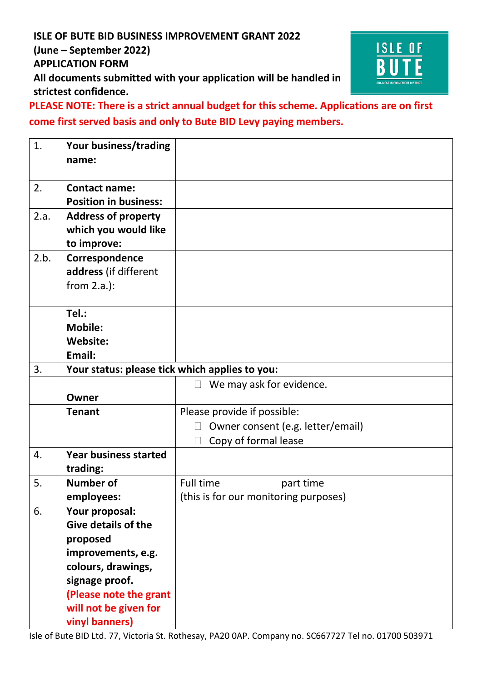## **ISLE OF BUTE BID BUSINESS IMPROVEMENT GRANT 2022 (June – September 2022) APPLICATION FORM All documents submitted with your application will be handled in strictest confidence.**



**PLEASE NOTE: There is a strict annual budget for this scheme. Applications are on first come first served basis and only to Bute BID Levy paying members.**

| 1.               | Your business/trading<br>name:                                    |                                       |  |
|------------------|-------------------------------------------------------------------|---------------------------------------|--|
| 2.               | <b>Contact name:</b><br><b>Position in business:</b>              |                                       |  |
| 2.a.             | <b>Address of property</b><br>which you would like<br>to improve: |                                       |  |
| 2.b.             | Correspondence<br>address (if different<br>from $2.a.$ ):         |                                       |  |
|                  | Tel.:<br><b>Mobile:</b><br><b>Website:</b><br>Email:              |                                       |  |
| 3.               | Your status: please tick which applies to you:                    |                                       |  |
|                  |                                                                   | We may ask for evidence.<br>$\Box$    |  |
|                  | Owner                                                             |                                       |  |
|                  | <b>Tenant</b>                                                     | Please provide if possible:           |  |
|                  |                                                                   | Owner consent (e.g. letter/email)     |  |
|                  |                                                                   | Copy of formal lease                  |  |
| $\overline{4}$ . | <b>Year business started</b><br>trading:                          |                                       |  |
| 5.               | <b>Number of</b>                                                  | <b>Full time</b><br>part time         |  |
|                  | employees:                                                        | (this is for our monitoring purposes) |  |
| 6.               | Your proposal:<br><b>Give details of the</b>                      |                                       |  |
|                  | proposed                                                          |                                       |  |
|                  | improvements, e.g.                                                |                                       |  |
|                  | colours, drawings,                                                |                                       |  |
|                  | signage proof.                                                    |                                       |  |
|                  | (Please note the grant                                            |                                       |  |
|                  | will not be given for                                             |                                       |  |
|                  | vinyl banners)                                                    |                                       |  |

Isle of Bute BID Ltd. 77, Victoria St. Rothesay, PA20 0AP. Company no. SC667727 Tel no. 01700 503971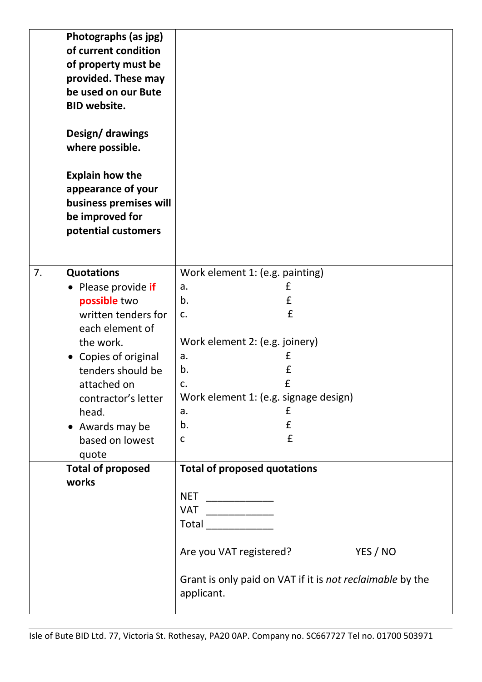|    | Photographs (as jpg)<br>of current condition<br>of property must be<br>provided. These may<br>be used on our Bute<br><b>BID website.</b><br>Design/ drawings<br>where possible.<br><b>Explain how the</b><br>appearance of your<br>business premises will<br>be improved for<br>potential customers |                                                                                                                                                                                                                                                                                                                                                                                                                                                                     |
|----|-----------------------------------------------------------------------------------------------------------------------------------------------------------------------------------------------------------------------------------------------------------------------------------------------------|---------------------------------------------------------------------------------------------------------------------------------------------------------------------------------------------------------------------------------------------------------------------------------------------------------------------------------------------------------------------------------------------------------------------------------------------------------------------|
| 7. | <b>Quotations</b>                                                                                                                                                                                                                                                                                   | Work element 1: (e.g. painting)                                                                                                                                                                                                                                                                                                                                                                                                                                     |
|    | Please provide if                                                                                                                                                                                                                                                                                   | £<br>a.                                                                                                                                                                                                                                                                                                                                                                                                                                                             |
|    | possible two                                                                                                                                                                                                                                                                                        | $\pmb{\mathsf{f}}$<br>b.                                                                                                                                                                                                                                                                                                                                                                                                                                            |
|    | written tenders for                                                                                                                                                                                                                                                                                 | £<br>c.                                                                                                                                                                                                                                                                                                                                                                                                                                                             |
|    | each element of                                                                                                                                                                                                                                                                                     |                                                                                                                                                                                                                                                                                                                                                                                                                                                                     |
|    | the work.                                                                                                                                                                                                                                                                                           | Work element 2: (e.g. joinery)                                                                                                                                                                                                                                                                                                                                                                                                                                      |
|    | • Copies of original                                                                                                                                                                                                                                                                                | £<br>a.                                                                                                                                                                                                                                                                                                                                                                                                                                                             |
|    | tenders should be                                                                                                                                                                                                                                                                                   | £<br>b.                                                                                                                                                                                                                                                                                                                                                                                                                                                             |
|    | attached on                                                                                                                                                                                                                                                                                         | £<br>c.                                                                                                                                                                                                                                                                                                                                                                                                                                                             |
|    | contractor's letter                                                                                                                                                                                                                                                                                 | Work element 1: (e.g. signage design)                                                                                                                                                                                                                                                                                                                                                                                                                               |
|    | head.                                                                                                                                                                                                                                                                                               | £<br>a.                                                                                                                                                                                                                                                                                                                                                                                                                                                             |
|    | • Awards may be                                                                                                                                                                                                                                                                                     | $\pmb{\mathsf{f}}$<br>b.                                                                                                                                                                                                                                                                                                                                                                                                                                            |
|    | based on lowest<br>quote                                                                                                                                                                                                                                                                            | £<br>C                                                                                                                                                                                                                                                                                                                                                                                                                                                              |
|    | <b>Total of proposed</b>                                                                                                                                                                                                                                                                            | <b>Total of proposed quotations</b>                                                                                                                                                                                                                                                                                                                                                                                                                                 |
|    | works                                                                                                                                                                                                                                                                                               |                                                                                                                                                                                                                                                                                                                                                                                                                                                                     |
|    |                                                                                                                                                                                                                                                                                                     | <b>NET</b><br>______________________                                                                                                                                                                                                                                                                                                                                                                                                                                |
|    |                                                                                                                                                                                                                                                                                                     | <b>VAT</b><br>$\begin{tabular}{ccccc} \multicolumn{2}{c }{\textbf{1} & \multicolumn{2}{c }{\textbf{2} & \multicolumn{2}{c }{\textbf{3} & \multicolumn{2}{c }{\textbf{4} & \multicolumn{2}{c }{\textbf{5} & \multicolumn{2}{c }{\textbf{6} & \multicolumn{2}{c }{\textbf{6} & \multicolumn{2}{c }{\textbf{6} & \multicolumn{2}{c }{\textbf{6} & \multicolumn{2}{c }{\textbf{6} & \multicolumn{2}{c }{\textbf{6} & \multicolumn{2}{c }{\textbf{6} & \multicolumn{2}{$ |
|    |                                                                                                                                                                                                                                                                                                     | Total <b>The Community of The Community</b>                                                                                                                                                                                                                                                                                                                                                                                                                         |
|    |                                                                                                                                                                                                                                                                                                     | YES / NO<br>Are you VAT registered?                                                                                                                                                                                                                                                                                                                                                                                                                                 |
|    |                                                                                                                                                                                                                                                                                                     | Grant is only paid on VAT if it is not reclaimable by the<br>applicant.                                                                                                                                                                                                                                                                                                                                                                                             |